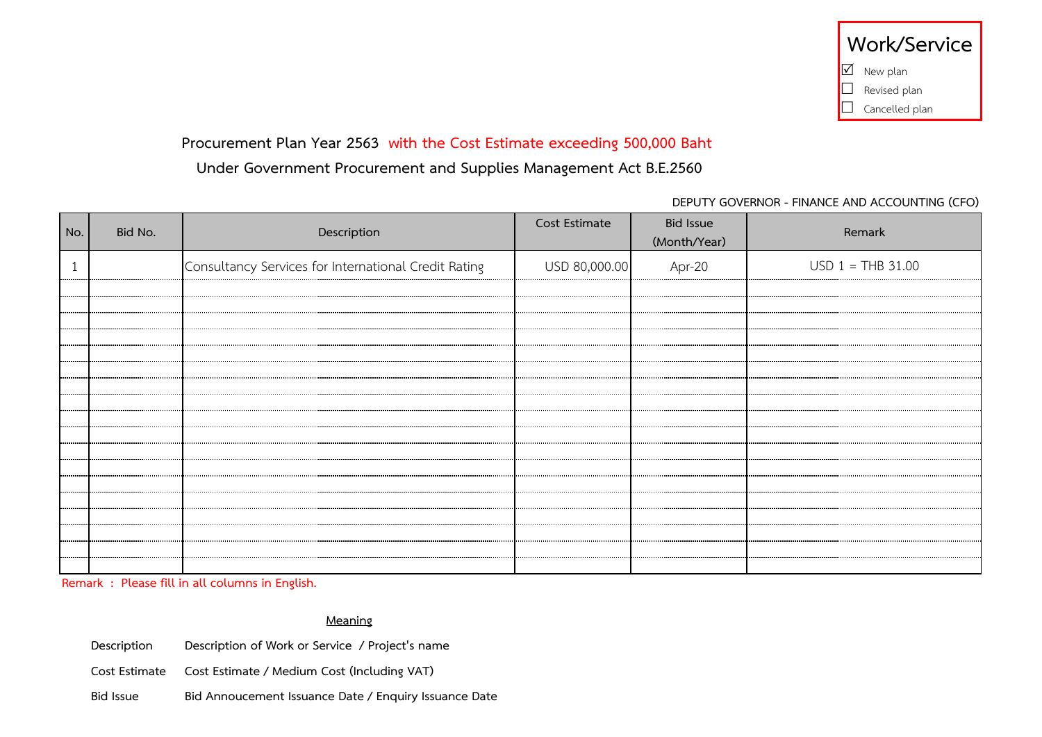## **Procurement Plan Year 2563 with the Cost Estimate exceeding 500,000 Baht**

# **Under Government Procurement and Supplies Management Act B.E.2560**

### **DEPUTY GOVERNOR - FINANCE AND ACCOUNTING (CFO)**

| No. | Bid No. | Description                                          | Cost Estimate | <b>Bid Issue</b><br>(Month/Year) | Remark              |
|-----|---------|------------------------------------------------------|---------------|----------------------------------|---------------------|
|     |         | Consultancy Services for International Credit Rating | USD 80,000.00 | Apr-20                           | $USD 1 = THB 31.00$ |
|     |         |                                                      |               |                                  |                     |
|     |         |                                                      |               |                                  |                     |
|     |         |                                                      |               |                                  |                     |
|     |         |                                                      |               |                                  |                     |
|     |         |                                                      |               |                                  |                     |
|     |         |                                                      |               |                                  |                     |
|     |         |                                                      |               |                                  |                     |
|     |         |                                                      |               |                                  |                     |
|     |         |                                                      |               |                                  |                     |
|     |         |                                                      |               |                                  |                     |
|     |         |                                                      |               |                                  |                     |
|     |         |                                                      |               |                                  |                     |
|     |         |                                                      |               |                                  |                     |

**Remark : Please fill in all columns in English.**

#### **Meaning**

| Description   | Description of Work or Service / Project's name       |
|---------------|-------------------------------------------------------|
| Cost Estimate | Cost Estimate / Medium Cost (Including VAT)           |
| Bid Issue     | Bid Annoucement Issuance Date / Enquiry Issuance Date |